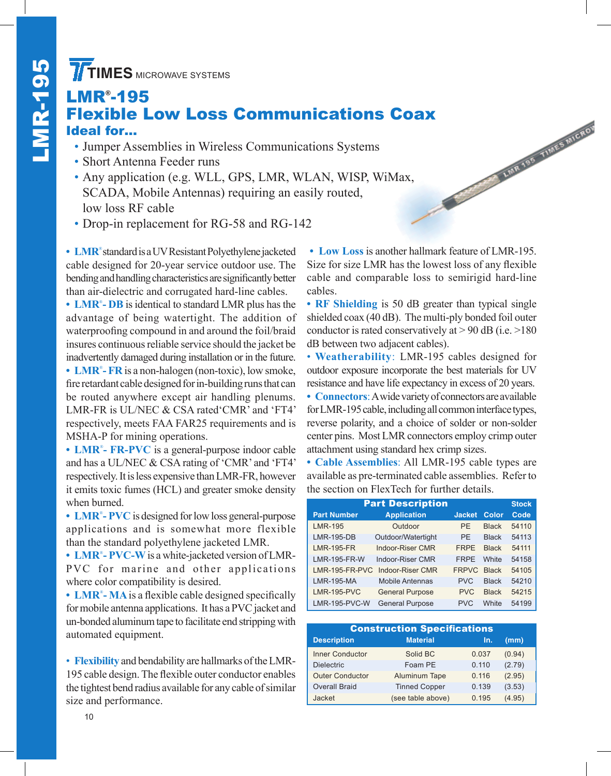## **TIMES** MICROWAVE SYSTEMS<br> **LMR°-195<br>
Flexible Low Loss<br>
Ideal for...**<br>
Jumper Assemblies in Wirele LMR® -195 Flexible Low Loss Communications Coax

- Jumper Assemblies in Wireless Communications Systems
- Short Antenna Feeder runs
- Any application (e.g. WLL, GPS, LMR, WLAN, WISP, WiMax, SCADA, Mobile Antennas) requiring an easily routed, low loss RF cable
- Drop-in replacement for RG-58 and RG-142

**• LMR**® standard is a UV Resistant Polyethylene jacketed cable designed for 20-year service outdoor use. The bending and handling characteristics are significantly better than air-dielectric and corrugated hard-line cables.

• **LMR<sup>®</sup>- DB** is identical to standard LMR plus has the advantage of being watertight. The addition of waterproofing compound in and around the foil/braid insures continuous reliable service should the jacket be inadvertently damaged during installation or in the future. • **LMR<sup>®</sup>-FR** is a non-halogen (non-toxic), low smoke, fire retardant cable designed for in-building runs that can be routed anywhere except air handling plenums. LMR-FR is UL/NEC & CSA rated'CMR' and 'FT4' respectively, meets FAA FAR25 requirements and is MSHA-P for mining operations.

**• LMR**® **- FR-PVC** is a general-purpose indoor cable and has a UL/NEC & CSA rating of 'CMR' and 'FT4' respectively. It is less expensive than LMR-FR, however it emits toxic fumes (HCL) and greater smoke density when burned.

• **LMR<sup>®</sup>-PVC** is designed for low loss general-purpose applications and is somewhat more flexible than the standard polyethylene jacketed LMR.

**• LMR**® **- PVC-W**is a white-jacketed version of LMR-PVC for marine and other applications where color compatibility is desired.

**• LMR**® **- MA**is a flexible cable designed specifically for mobile antenna applications. It has a PVC jacket and un-bonded aluminum tape to facilitate end stripping with automated equipment.

• **Flexibility** and bendability are hallmarks of the LMR-195 cable design. The flexible outer conductor enables the tightest bend radius available for any cable of similar size and performance.

**• Low Loss** is another hallmark feature of LMR-195. Size for size LMR has the lowest loss of any flexible cable and comparable loss to semirigid hard-line cables.

A LINRADE TIMES MICH

**• RF Shielding** is 50 dB greater than typical single shielded coax (40 dB). The multi-ply bonded foil outer conductor is rated conservatively at  $> 90$  dB (i.e.  $> 180$ ) dB between two adjacent cables).

• **Weatherability**: LMR-195 cables designed for outdoor exposure incorporate the best materials for UV resistance and have life expectancy in excess of 20 years.

**• Connectors**: A wide variety of connectors are available for LMR-195 cable, including all common interface types, reverse polarity, and a choice of solder or non-solder center pins. Most LMR connectors employ crimp outer attachment using standard hex crimp sizes.

**• Cable Assemblies**: All LMR-195 cable types are available as pre-terminated cable assemblies. Refer to the section on FlexTech for further details.

| <b>Part Description</b> |                        |               |              |       |  |  |
|-------------------------|------------------------|---------------|--------------|-------|--|--|
| <b>Part Number</b>      | <b>Application</b>     | <b>Jacket</b> | Color        | Code  |  |  |
| <b>LMR-195</b>          | Outdoor                | <b>PF</b>     | <b>Black</b> | 54110 |  |  |
| <b>LMR-195-DB</b>       | Outdoor/Watertight     | PF            | <b>Black</b> | 54113 |  |  |
| <b>LMR-195-FR</b>       | Indoor-Riser CMR       | <b>FRPF</b>   | <b>Black</b> | 54111 |  |  |
| <b>LMR-195-FR-W</b>     | Indoor-Riser CMR       | <b>FRPF</b>   | <b>White</b> | 54158 |  |  |
| LMR-195-FR-PVC          | Indoor-Riser CMR       | <b>FRPVC</b>  | <b>Black</b> | 54105 |  |  |
| <b>LMR-195-MA</b>       | <b>Mobile Antennas</b> | <b>PVC</b>    | <b>Black</b> | 54210 |  |  |
| <b>LMR-195-PVC</b>      | <b>General Purpose</b> | <b>PVC</b>    | <b>Black</b> | 54215 |  |  |
| <b>LMR-195-PVC-W</b>    | <b>General Purpose</b> | <b>PVC</b>    | <b>White</b> | 54199 |  |  |

| <b>Construction Specifications</b> |                      |       |        |  |  |  |  |
|------------------------------------|----------------------|-------|--------|--|--|--|--|
| <b>Description</b>                 | <b>Material</b>      | In.   | (mm)   |  |  |  |  |
| <b>Inner Conductor</b>             | Solid BC             | 0.037 | (0.94) |  |  |  |  |
| <b>Dielectric</b>                  | Foam PE              | 0.110 | (2.79) |  |  |  |  |
| <b>Outer Conductor</b>             | Aluminum Tape        | 0.116 | (2.95) |  |  |  |  |
| <b>Overall Braid</b>               | <b>Tinned Copper</b> | 0.139 | (3.53) |  |  |  |  |
| Jacket                             | (see table above)    | 0.195 | (4.95) |  |  |  |  |